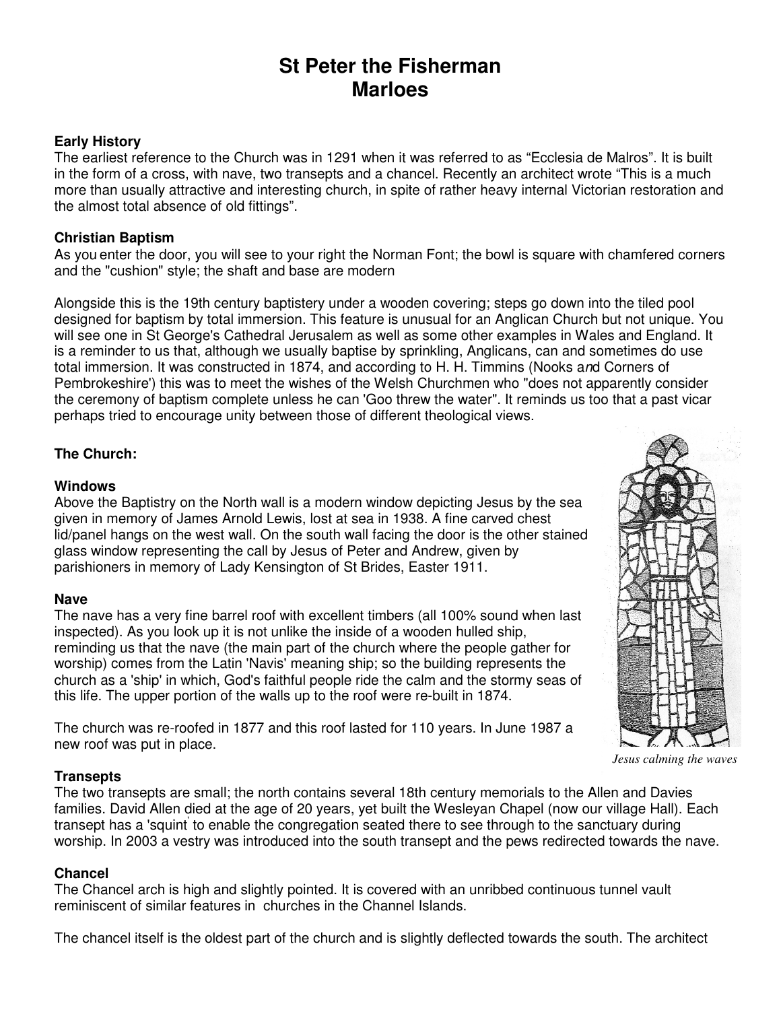# **St Peter the Fisherman Marloes**

## **Early History**

The earliest reference to the Church was in 1291 when it was referred to as "Ecclesia de Malros". It is built in the form of a cross, with nave, two transepts and a chancel. Recently an architect wrote "This is a much more than usually attractive and interesting church, in spite of rather heavy internal Victorian restoration and the almost total absence of old fittings".

## **Christian Baptism**

As you enter the door, you will see to your right the Norman Font; the bowl is square with chamfered corners and the "cushion" style; the shaft and base are modern

Alongside this is the 19th century baptistery under a wooden covering; steps go down into the tiled pool designed for baptism by total immersion. This feature is unusual for an Anglican Church but not unique. You will see one in St George's Cathedral Jerusalem as well as some other examples in Wales and England. It is a reminder to us that, although we usually baptise by sprinkling, Anglicans, can and sometimes do use total immersion. It was constructed in 1874, and according to H. H. Timmins (Nooks and Corners of Pembrokeshire') this was to meet the wishes of the Welsh Churchmen who "does not apparently consider the ceremony of baptism complete unless he can 'Goo threw the water". It reminds us too that a past vicar perhaps tried to encourage unity between those of different theological views.

# **The Church:**

#### **Windows**

Above the Baptistry on the North wall is a modern window depicting Jesus by the sea given in memory of James Arnold Lewis, lost at sea in 1938. A fine carved chest lid/panel hangs on the west wall. On the south wall facing the door is the other stained glass window representing the call by Jesus of Peter and Andrew, given by parishioners in memory of Lady Kensington of St Brides, Easter 1911.

#### **Nave**

The nave has a very fine barrel roof with excellent timbers (all 100% sound when last inspected). As you look up it is not unlike the inside of a wooden hulled ship, reminding us that the nave (the main part of the church where the people gather for worship) comes from the Latin 'Navis' meaning ship; so the building represents the church as a 'ship' in which, God's faithful people ride the calm and the stormy seas of this life. The upper portion of the walls up to the roof were re-built in 1874.

The church was re-roofed in 1877 and this roof lasted for 110 years. In June 1987 a new roof was put in place.

#### **Transepts**

The two transepts are small; the north contains several 18th century memorials to the Allen and Davies families. David Allen died at the age of 20 years, yet built the Wesleyan Chapel (now our village Hall). Each transept has a 'squint<sup>'</sup> to enable the congregation seated there to see through to the sanctuary during worship. In 2003 a vestry was introduced into the south transept and the pews redirected towards the nave.

#### **Chancel**

The Chancel arch is high and slightly pointed. It is covered with an unribbed continuous tunnel vault reminiscent of similar features in churches in the Channel Islands.

The chancel itself is the oldest part of the church and is slightly deflected towards the south. The architect



*Jesus calming the waves*